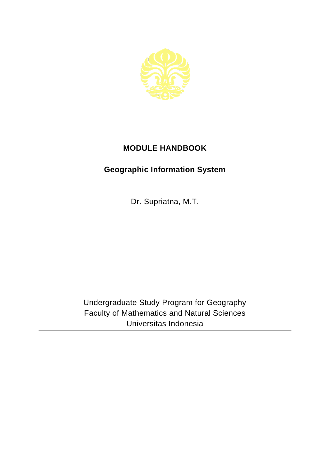

## **MODULE HANDBOOK**

## **Geographic Information System**

Dr. Supriatna, M.T.

Undergraduate Study Program for Geography Faculty of Mathematics and Natural Sciences Universitas Indonesia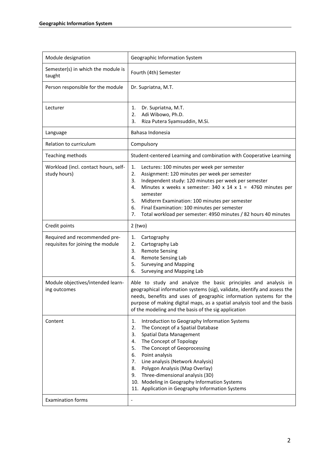| Module designation                                                 | Geographic Information System                                                                                                                                                                                                                                                                                                                                                                                                                                         |
|--------------------------------------------------------------------|-----------------------------------------------------------------------------------------------------------------------------------------------------------------------------------------------------------------------------------------------------------------------------------------------------------------------------------------------------------------------------------------------------------------------------------------------------------------------|
| Semester(s) in which the module is<br>taught                       | Fourth (4th) Semester                                                                                                                                                                                                                                                                                                                                                                                                                                                 |
| Person responsible for the module                                  | Dr. Supriatna, M.T.                                                                                                                                                                                                                                                                                                                                                                                                                                                   |
| Lecturer                                                           | Dr. Supriatna, M.T.<br>1.<br>Adi Wibowo, Ph.D.<br>2.<br>Riza Putera Syamsuddin, M.Si.<br>3.                                                                                                                                                                                                                                                                                                                                                                           |
| Language                                                           | Bahasa Indonesia                                                                                                                                                                                                                                                                                                                                                                                                                                                      |
| Relation to curriculum                                             | Compulsory                                                                                                                                                                                                                                                                                                                                                                                                                                                            |
| Teaching methods                                                   | Student-centered Learning and combination with Cooperative Learning                                                                                                                                                                                                                                                                                                                                                                                                   |
| Workload (incl. contact hours, self-<br>study hours)               | 1.<br>Lectures: 100 minutes per week per semester<br>2.<br>Assignment: 120 minutes per week per semester<br>Independent study: 120 minutes per week per semester<br>3.<br>Minutes x weeks x semester: 340 x 14 x 1 = 4760 minutes per<br>4.<br>semester<br>5.<br>Midterm Examination: 100 minutes per semester<br>6.<br>Final Examination: 100 minutes per semester<br>7.<br>Total workload per semester: 4950 minutes / 82 hours 40 minutes                          |
| Credit points                                                      | $2$ (two)                                                                                                                                                                                                                                                                                                                                                                                                                                                             |
| Required and recommended pre-<br>requisites for joining the module | Cartography<br>1.<br>Cartography Lab<br>2.<br><b>Remote Sensing</b><br>3.<br>Remote Sensing Lab<br>4.<br><b>Surveying and Mapping</b><br>5.<br>6.<br>Surveying and Mapping Lab                                                                                                                                                                                                                                                                                        |
| Module objectives/intended learn-<br>ing outcomes                  | Able to study and analyze the basic principles and analysis in<br>geographical information systems (sig), validate, identify and assess the<br>needs, benefits and uses of geographic information systems for the<br>purpose of making digital maps, as a spatial analysis tool and the basis<br>of the modeling and the basis of the sig application                                                                                                                 |
| Content                                                            | Introduction to Geography Information Systems<br>1.<br>The Concept of a Spatial Database<br>2.<br><b>Spatial Data Management</b><br>3.<br>The Concept of Topology<br>4.<br>The Concept of Geoprocessing<br>5.<br>Point analysis<br>6.<br>Line analysis (Network Analysis)<br>7.<br>Polygon Analysis (Map Overlay)<br>8.<br>Three-dimensional analysis (3D)<br>9.<br>10. Modeling in Geography Information Systems<br>11. Application in Geography Information Systems |
| <b>Examination forms</b>                                           | $\qquad \qquad \blacksquare$                                                                                                                                                                                                                                                                                                                                                                                                                                          |